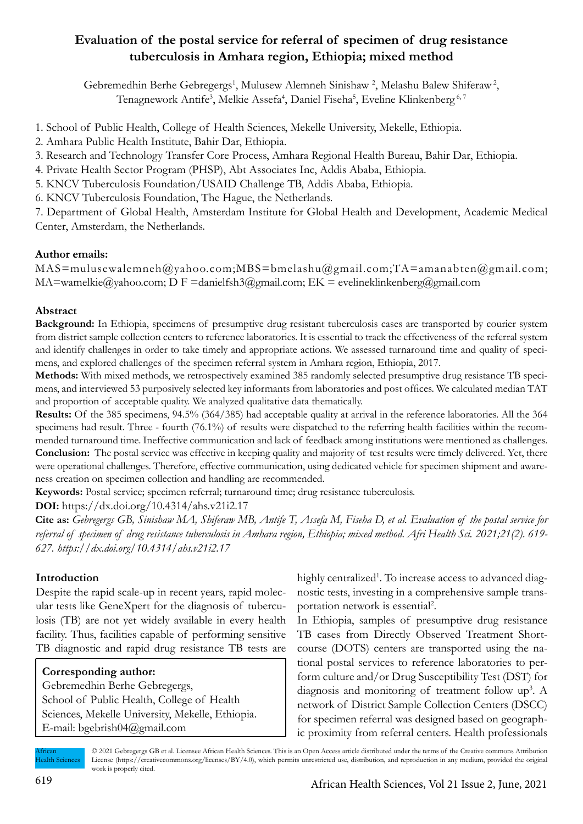# **Evaluation of the postal service for referral of specimen of drug resistance tuberculosis in Amhara region, Ethiopia; mixed method**

Gebremedhin Berhe Gebregergs<sup>1</sup>, Mulusew Alemneh Sinishaw<sup>2</sup>, Melashu Balew Shiferaw<sup>2</sup>, Tenagnework Antife<sup>3</sup>, Melkie Assefa<sup>4</sup>, Daniel Fiseha<sup>5</sup>, Eveline Klinkenberg<sup>6,7</sup>

1. School of Public Health, College of Health Sciences, Mekelle University, Mekelle, Ethiopia.

2. Amhara Public Health Institute, Bahir Dar, Ethiopia.

3. Research and Technology Transfer Core Process, Amhara Regional Health Bureau, Bahir Dar, Ethiopia.

4. Private Health Sector Program (PHSP), Abt Associates Inc, Addis Ababa, Ethiopia.

5. KNCV Tuberculosis Foundation/USAID Challenge TB, Addis Ababa, Ethiopia.

6. KNCV Tuberculosis Foundation, The Hague, the Netherlands.

7. Department of Global Health, Amsterdam Institute for Global Health and Development, Academic Medical Center, Amsterdam, the Netherlands.

# **Author emails:**

 $MAS = multusewalemneh@yahoo.com; MBS = bmelashu@gmail.com; TA = amanabten@gmail.com;$ MA=wamelkie@yahoo.com; D F =danielfsh3@gmail.com; EK = evelineklinkenberg@gmail.com

# **Abstract**

**Background:** In Ethiopia, specimens of presumptive drug resistant tuberculosis cases are transported by courier system from district sample collection centers to reference laboratories. It is essential to track the effectiveness of the referral system and identify challenges in order to take timely and appropriate actions. We assessed turnaround time and quality of specimens, and explored challenges of the specimen referral system in Amhara region, Ethiopia, 2017.

**Methods:** With mixed methods, we retrospectively examined 385 randomly selected presumptive drug resistance TB specimens, and interviewed 53 purposively selected key informants from laboratories and post offices. We calculated median TAT and proportion of acceptable quality. We analyzed qualitative data thematically.

**Results:** Of the 385 specimens, 94.5% (364/385) had acceptable quality at arrival in the reference laboratories. All the 364 specimens had result. Three - fourth (76.1%) of results were dispatched to the referring health facilities within the recommended turnaround time. Ineffective communication and lack of feedback among institutions were mentioned as challenges. **Conclusion:** The postal service was effective in keeping quality and majority of test results were timely delivered. Yet, there were operational challenges. Therefore, effective communication, using dedicated vehicle for specimen shipment and awareness creation on specimen collection and handling are recommended.

**Keywords:** Postal service; specimen referral; turnaround time; drug resistance tuberculosis.

**DOI:** https://dx.doi.org/10.4314/ahs.v21i2.17

**Cite as:** *Gebregergs GB, Sinishaw MA, Shiferaw MB, Antife T, Assefa M, Fiseha D, et al. Evaluation of the postal service for referral of specimen of drug resistance tuberculosis in Amhara region, Ethiopia; mixed method. Afri Health Sci. 2021;21(2). 619- 627. https://dx.doi.org/10.4314/ahs.v21i2.17*

# **Introduction**

Despite the rapid scale-up in recent years, rapid molecular tests like GeneXpert for the diagnosis of tuberculosis (TB) are not yet widely available in every health facility. Thus, facilities capable of performing sensitive TB diagnostic and rapid drug resistance TB tests are

**Corresponding author:** Gebremedhin Berhe Gebregergs, School of Public Health, College of Health Sciences, Mekelle University, Mekelle, Ethiopia. E-mail: bgebrish04@gmail.com

highly centralized<sup>1</sup>. To increase access to advanced diagnostic tests, investing in a comprehensive sample transportation network is essential<sup>2</sup>.

In Ethiopia, samples of presumptive drug resistance TB cases from Directly Observed Treatment Shortcourse (DOTS) centers are transported using the national postal services to reference laboratories to perform culture and/or Drug Susceptibility Test (DST) for diagnosis and monitoring of treatment follow up<sup>3</sup>. A network of District Sample Collection Centers (DSCC) for specimen referral was designed based on geographic proximity from referral centers. Health professionals

African Health Sciences © 2021 Gebregergs GB et al. Licensee African Health Sciences. This is an Open Access article distributed under the terms of the Creative commons Attribution License (https://creativecommons.org/licenses/BY/4.0), which permits unrestricted use, distribution, and reproduction in any medium, provided the original work is properly cited.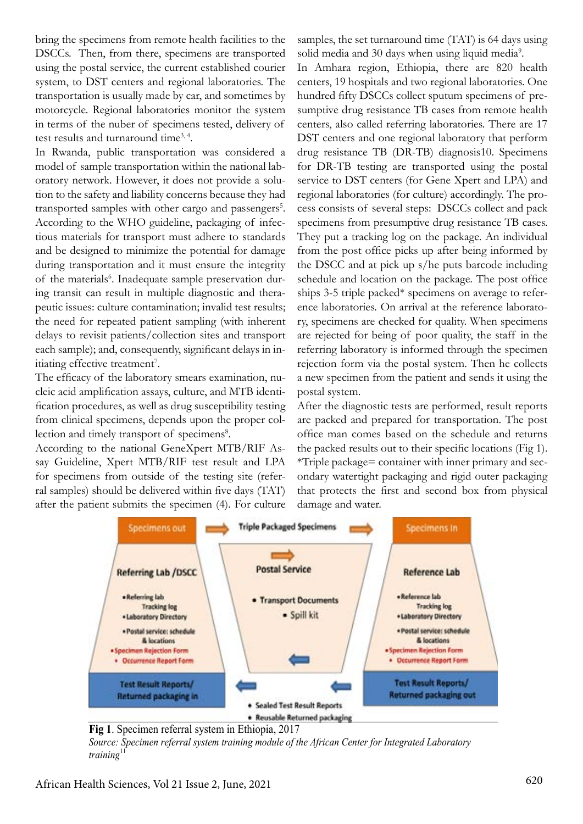bring the specimens from remote health facilities to the DSCCs. Then, from there, specimens are transported using the postal service, the current established courier system, to DST centers and regional laboratories. The transportation is usually made by car, and sometimes by motorcycle. Regional laboratories monitor the system in terms of the nuber of specimens tested, delivery of test results and turnaround time<sup>3, 4</sup>.

In Rwanda, public transportation was considered a model of sample transportation within the national laboratory network. However, it does not provide a solution to the safety and liability concerns because they had transported samples with other cargo and passengers<sup>5</sup>. According to the WHO guideline, packaging of infectious materials for transport must adhere to standards and be designed to minimize the potential for damage during transportation and it must ensure the integrity of the materials<sup>6</sup>. Inadequate sample preservation during transit can result in multiple diagnostic and therapeutic issues: culture contamination; invalid test results; the need for repeated patient sampling (with inherent delays to revisit patients/collection sites and transport each sample); and, consequently, significant delays in initiating effective treatment<sup>7</sup>.

The efficacy of the laboratory smears examination, nucleic acid amplification assays, culture, and MTB identification procedures, as well as drug susceptibility testing from clinical specimens, depends upon the proper collection and timely transport of specimens<sup>8</sup>.

According to the national GeneXpert MTB/RIF Assay Guideline, Xpert MTB/RIF test result and LPA for specimens from outside of the testing site (referral samples) should be delivered within five days (TAT) after the patient submits the specimen (4). For culture samples, the set turnaround time (TAT) is 64 days using solid media and 30 days when using liquid media<sup>9</sup>.

In Amhara region, Ethiopia, there are 820 health centers, 19 hospitals and two regional laboratories. One hundred fifty DSCCs collect sputum specimens of presumptive drug resistance TB cases from remote health centers, also called referring laboratories. There are 17 DST centers and one regional laboratory that perform drug resistance TB (DR-TB) diagnosis10. Specimens for DR-TB testing are transported using the postal service to DST centers (for Gene Xpert and LPA) and regional laboratories (for culture) accordingly. The process consists of several steps: DSCCs collect and pack specimens from presumptive drug resistance TB cases. They put a tracking log on the package. An individual from the post office picks up after being informed by the DSCC and at pick up s/he puts barcode including schedule and location on the package. The post office ships 3-5 triple packed\* specimens on average to reference laboratories. On arrival at the reference laboratory, specimens are checked for quality. When specimens are rejected for being of poor quality, the staff in the referring laboratory is informed through the specimen rejection form via the postal system. Then he collects a new specimen from the patient and sends it using the postal system.

After the diagnostic tests are performed, result reports are packed and prepared for transportation. The post office man comes based on the schedule and returns the packed results out to their specific locations (Fig 1). \*Triple package= container with inner primary and secondary watertight packaging and rigid outer packaging that protects the first and second box from physical damage and water.



**Fig 1**. Specimen referral system in Ethiopia, 2017

*Source: Specimen referral system training module of the African Center for Integrated Laboratory training*<sup>11</sup>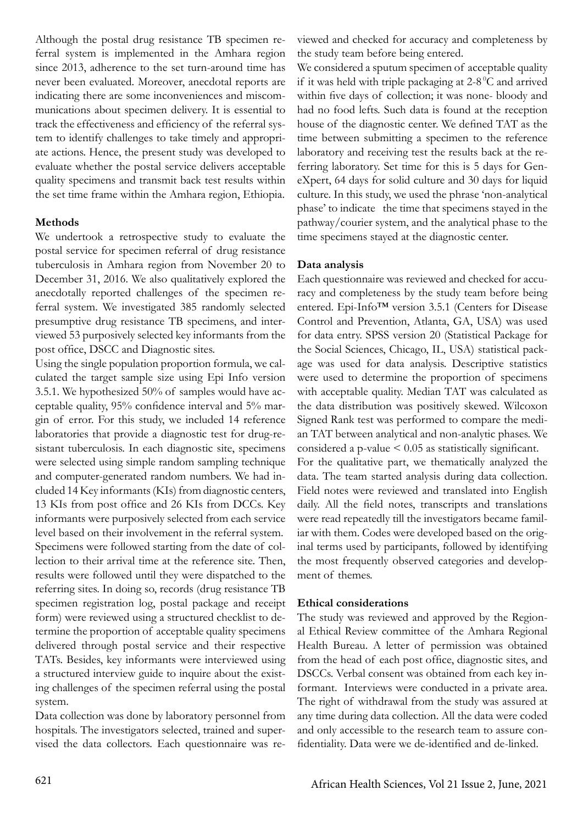Although the postal drug resistance TB specimen referral system is implemented in the Amhara region since 2013, adherence to the set turn-around time has never been evaluated. Moreover, anecdotal reports are indicating there are some inconveniences and miscommunications about specimen delivery. It is essential to track the effectiveness and efficiency of the referral system to identify challenges to take timely and appropriate actions. Hence, the present study was developed to evaluate whether the postal service delivers acceptable quality specimens and transmit back test results within the set time frame within the Amhara region, Ethiopia.

### **Methods**

We undertook a retrospective study to evaluate the postal service for specimen referral of drug resistance tuberculosis in Amhara region from November 20 to December 31, 2016. We also qualitatively explored the anecdotally reported challenges of the specimen referral system. We investigated 385 randomly selected presumptive drug resistance TB specimens, and interviewed 53 purposively selected key informants from the post office, DSCC and Diagnostic sites.

Using the single population proportion formula, we calculated the target sample size using Epi Info version 3.5.1. We hypothesized 50% of samples would have acceptable quality, 95% confidence interval and 5% margin of error. For this study, we included 14 reference laboratories that provide a diagnostic test for drug-resistant tuberculosis. In each diagnostic site, specimens were selected using simple random sampling technique and computer-generated random numbers. We had included 14 Key informants (KIs) from diagnostic centers, 13 KIs from post office and 26 KIs from DCCs. Key informants were purposively selected from each service level based on their involvement in the referral system. Specimens were followed starting from the date of collection to their arrival time at the reference site. Then, results were followed until they were dispatched to the referring sites. In doing so, records (drug resistance TB specimen registration log, postal package and receipt form) were reviewed using a structured checklist to determine the proportion of acceptable quality specimens delivered through postal service and their respective TATs. Besides, key informants were interviewed using a structured interview guide to inquire about the existing challenges of the specimen referral using the postal system.

Data collection was done by laboratory personnel from hospitals. The investigators selected, trained and supervised the data collectors. Each questionnaire was reviewed and checked for accuracy and completeness by the study team before being entered.

We considered a sputum specimen of acceptable quality if it was held with triple packaging at  $2-8\degree$ C and arrived within five days of collection; it was none- bloody and had no food lefts. Such data is found at the reception house of the diagnostic center. We defined TAT as the time between submitting a specimen to the reference laboratory and receiving test the results back at the referring laboratory. Set time for this is 5 days for GeneXpert, 64 days for solid culture and 30 days for liquid culture. In this study, we used the phrase 'non-analytical phase' to indicate the time that specimens stayed in the pathway/courier system, and the analytical phase to the time specimens stayed at the diagnostic center.

#### **Data analysis**

Each questionnaire was reviewed and checked for accuracy and completeness by the study team before being entered. Epi-Info™ version 3.5.1 (Centers for Disease Control and Prevention, Atlanta, GA, USA) was used for data entry. SPSS version 20 (Statistical Package for the Social Sciences, Chicago, IL, USA) statistical package was used for data analysis. Descriptive statistics were used to determine the proportion of specimens with acceptable quality. Median TAT was calculated as the data distribution was positively skewed. Wilcoxon Signed Rank test was performed to compare the median TAT between analytical and non-analytic phases. We considered a p-value < 0.05 as statistically significant. For the qualitative part, we thematically analyzed the data. The team started analysis during data collection. Field notes were reviewed and translated into English daily. All the field notes, transcripts and translations were read repeatedly till the investigators became familiar with them. Codes were developed based on the original terms used by participants, followed by identifying the most frequently observed categories and development of themes.

#### **Ethical considerations**

The study was reviewed and approved by the Regional Ethical Review committee of the Amhara Regional Health Bureau. A letter of permission was obtained from the head of each post office, diagnostic sites, and DSCCs. Verbal consent was obtained from each key informant. Interviews were conducted in a private area. The right of withdrawal from the study was assured at any time during data collection. All the data were coded and only accessible to the research team to assure confidentiality. Data were we de-identified and de-linked.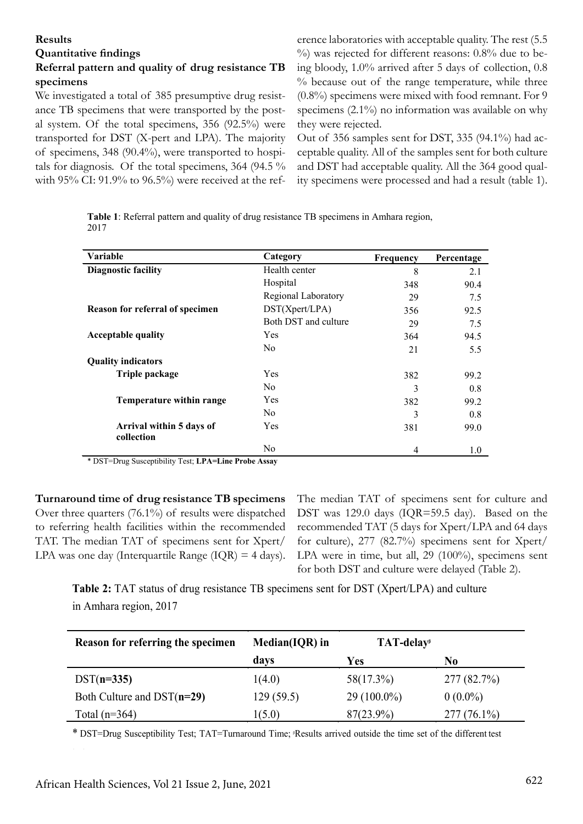#### **Results**

# **Quantitative findings**

# **Referral pattern and quality of drug resistance TB specimens**

We investigated a total of 385 presumptive drug resistance TB specimens that were transported by the postal system. Of the total specimens, 356 (92.5%) were transported for DST (X-pert and LPA). The majority of specimens, 348 (90.4%), were transported to hospitals for diagnosis. Of the total specimens, 364 (94.5 % with 95% CI: 91.9% to 96.5%) were received at the reference laboratories with acceptable quality. The rest (5.5 %) was rejected for different reasons: 0.8% due to being bloody, 1.0% arrived after 5 days of collection, 0.8  $%$  because out of the range temperature, while three (0.8%) specimens were mixed with food remnant. For 9 specimens (2.1%) no information was available on why they were rejected.

Out of 356 samples sent for DST, 335 (94.1%) had acceptable quality. All of the samples sent for both culture and DST had acceptable quality. All the 364 good quality specimens were processed and had a result (table 1).

**Table 1**: Referral pattern and quality of drug resistance TB specimens in Amhara region, 2017

| Variable                               | Category             | <b>Frequency</b> | Percentage |
|----------------------------------------|----------------------|------------------|------------|
| <b>Diagnostic facility</b>             | Health center        | 8                | 2.1        |
|                                        | Hospital             | 348              | 90.4       |
|                                        | Regional Laboratory  | 29               | 7.5        |
| Reason for referral of specimen        | DST(Xpert/LPA)       | 356              | 92.5       |
|                                        | Both DST and culture | 29               | 7.5        |
| <b>Acceptable quality</b>              | Yes                  | 364              | 94.5       |
|                                        | N <sub>0</sub>       | 21               | 5.5        |
| <b>Quality indicators</b>              |                      |                  |            |
| Triple package                         | Yes                  | 382              | 99.2       |
|                                        | N <sub>0</sub>       | 3                | 0.8        |
| Temperature within range               | Yes                  | 382              | 99.2       |
|                                        | N <sub>0</sub>       | 3                | 0.8        |
| Arrival within 5 days of<br>collection | Yes                  | 381              | 99.0       |
|                                        | N <sub>0</sub>       | 4                | 1.0        |

\* DST=Drug Susceptibility Test; **LPA=Line Probe Assay**

**Turnaround time of drug resistance TB specimens** Over three quarters (76.1%) of results were dispatched to referring health facilities within the recommended TAT. The median TAT of specimens sent for Xpert/ LPA was one day (Interquartile Range  $(IQR) = 4$  days). The median TAT of specimens sent for culture and DST was 129.0 days (IQR=59.5 day). Based on the recommended TAT (5 days for Xpert/LPA and 64 days for culture), 277 (82.7%) specimens sent for Xpert/ LPA were in time, but all, 29 (100%), specimens sent for both DST and culture were delayed (Table 2). fable **2**).

**Table 2:** TAT status of drug resistance TB specimens sent for DST (Xpert/LPA) and culture in Amhara region, 2017

| Reason for referring the specimen | $Median(IQR)$ in | TAT-delay <sup>®</sup> |               |
|-----------------------------------|------------------|------------------------|---------------|
|                                   | davs             | Yes                    | No            |
| $DST(n=335)$                      | 1(4.0)           | 58(17.3%)              | 277(82.7%)    |
| Both Culture and DST $(n=29)$     | 129 (59.5)       | $29(100.0\%)$          | $0(0.0\%)$    |
| Total $(n=364)$                   | 1(5.0)           | 87(23.9%)              | $277(76.1\%)$ |

\* DST=Drug Susceptibility Test; TAT=Turnaround Time; *PResults arrived outside the time set of the different test*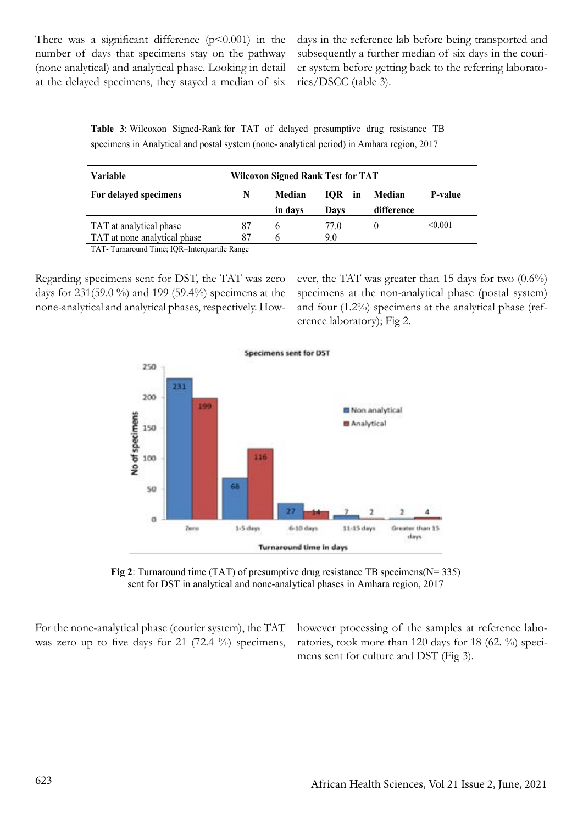There was a significant difference  $(p<0.001)$  in the number of days that specimens stay on the pathway (none analytical) and analytical phase. Looking in detail at the delayed specimens, they stayed a median of six days in the reference lab before being transported and subsequently a further median of six days in the courier system before getting back to the referring laboratories/DSCC (table 3).

**Table 3**: Wilcoxon Signed-Rank for TAT of delayed presumptive drug resistance TB specimens in Analytical and postal system (none- analytical period) in Amhara region, 2017

| Variable                     | <b>Wilcoxon Signed Rank Test for TAT</b> |         |        |            |                |  |
|------------------------------|------------------------------------------|---------|--------|------------|----------------|--|
| For delayed specimens        | N                                        | Median  | IOR in | Median     | <b>P-value</b> |  |
|                              |                                          | in days | Davs   | difference |                |  |
| TAT at analytical phase      | 87                                       | h       | 77 O   |            | < 0.001        |  |
| TAT at none analytical phase | 87                                       | h       | 9.0    |            |                |  |

TAT- Turnaround Time; IQR=Interquartile Range

Regarding specimens sent for DST, the TAT was zero days for 231(59.0 %) and 199 (59.4%) specimens at the none-analytical and analytical phases, respectively. However, the TAT was greater than 15 days for two  $(0.6\%)$ specimens at the non-analytical phase (postal system) and four (1.2%) specimens at the analytical phase (reference laboratory); Fig 2.





For the none-analytical phase (courier system), the TAT was zero up to five days for 21 (72.4 %) specimens, however processing of the samples at reference laboratories, took more than 120 days for 18 (62. %) specimens sent for culture and DST (Fig 3).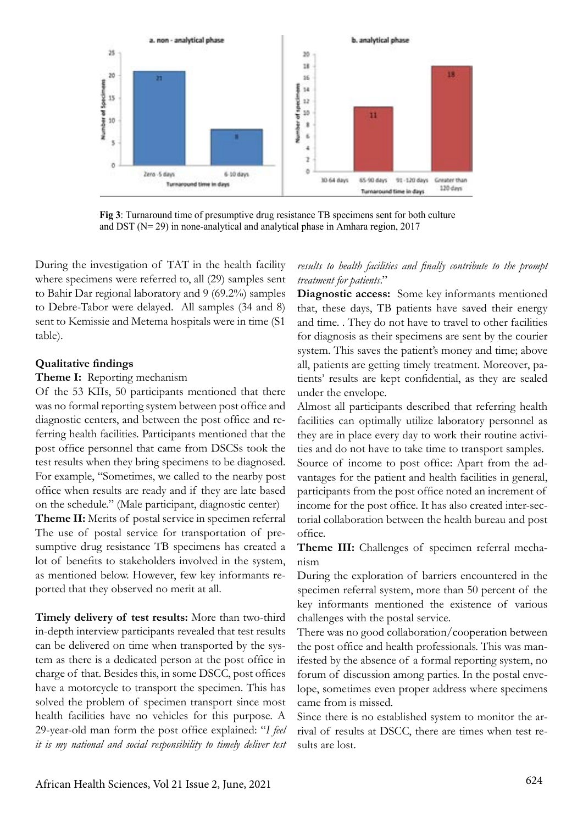

**Fig 3**: Turnaround time of presumptive drug resistance TB specimens sent for both culture and DST (N= 29) in none-analytical and analytical phase in Amhara region, 2017

During the investigation of TAT in the health facility where specimens were referred to, all (29) samples sent to Bahir Dar regional laboratory and 9 (69.2%) samples to Debre-Tabor were delayed. All samples (34 and 8) sent to Kemissie and Metema hospitals were in time (S1 table).

#### **Qualitative findings**

#### **Theme I:** Reporting mechanism

Of the 53 KIIs, 50 participants mentioned that there was no formal reporting system between post office and diagnostic centers, and between the post office and referring health facilities. Participants mentioned that the post office personnel that came from DSCSs took the test results when they bring specimens to be diagnosed. For example, "Sometimes, we called to the nearby post office when results are ready and if they are late based on the schedule." (Male participant, diagnostic center)

**Theme II:** Merits of postal service in specimen referral The use of postal service for transportation of presumptive drug resistance TB specimens has created a lot of benefits to stakeholders involved in the system, as mentioned below. However, few key informants reported that they observed no merit at all.

**Timely delivery of test results:** More than two-third in-depth interview participants revealed that test results can be delivered on time when transported by the system as there is a dedicated person at the post office in charge of that. Besides this, in some DSCC, post offices have a motorcycle to transport the specimen. This has solved the problem of specimen transport since most health facilities have no vehicles for this purpose. A 29-year-old man form the post office explained: "*I feel it is my national and social responsibility to timely deliver test* 

*results to health facilities and finally contribute to the prompt treatment for patients*."

**Diagnostic access:** Some key informants mentioned that, these days, TB patients have saved their energy and time. . They do not have to travel to other facilities for diagnosis as their specimens are sent by the courier system. This saves the patient's money and time; above all, patients are getting timely treatment. Moreover, patients' results are kept confidential, as they are sealed under the envelope.

Almost all participants described that referring health facilities can optimally utilize laboratory personnel as they are in place every day to work their routine activities and do not have to take time to transport samples. Source of income to post office: Apart from the advantages for the patient and health facilities in general, participants from the post office noted an increment of income for the post office. It has also created inter-sectorial collaboration between the health bureau and post office.

**Theme III:** Challenges of specimen referral mechanism

During the exploration of barriers encountered in the specimen referral system, more than 50 percent of the key informants mentioned the existence of various challenges with the postal service.

There was no good collaboration/cooperation between the post office and health professionals. This was manifested by the absence of a formal reporting system, no forum of discussion among parties. In the postal envelope, sometimes even proper address where specimens came from is missed.

Since there is no established system to monitor the arrival of results at DSCC, there are times when test results are lost.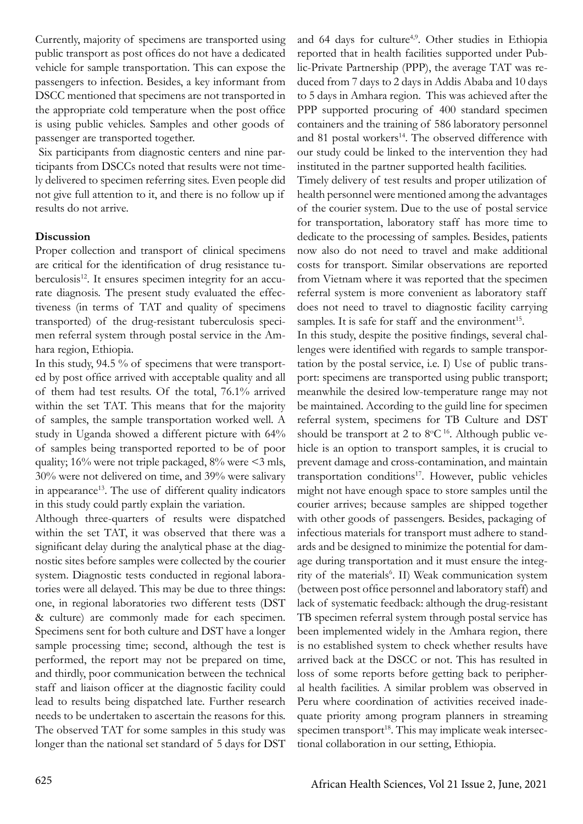Currently, majority of specimens are transported using public transport as post offices do not have a dedicated vehicle for sample transportation. This can expose the passengers to infection. Besides, a key informant from DSCC mentioned that specimens are not transported in the appropriate cold temperature when the post office is using public vehicles. Samples and other goods of passenger are transported together.

 Six participants from diagnostic centers and nine participants from DSCCs noted that results were not timely delivered to specimen referring sites. Even people did not give full attention to it, and there is no follow up if results do not arrive.

### **Discussion**

Proper collection and transport of clinical specimens are critical for the identification of drug resistance tuberculosis<sup>12</sup>. It ensures specimen integrity for an accurate diagnosis. The present study evaluated the effectiveness (in terms of TAT and quality of specimens transported) of the drug-resistant tuberculosis specimen referral system through postal service in the Amhara region, Ethiopia.

In this study, 94.5 % of specimens that were transported by post office arrived with acceptable quality and all of them had test results. Of the total, 76.1% arrived within the set TAT. This means that for the majority of samples, the sample transportation worked well. A study in Uganda showed a different picture with 64% of samples being transported reported to be of poor quality; 16% were not triple packaged, 8% were <3 mls, 30% were not delivered on time, and 39% were salivary in appearance<sup>13</sup>. The use of different quality indicators in this study could partly explain the variation.

Although three-quarters of results were dispatched within the set TAT, it was observed that there was a significant delay during the analytical phase at the diagnostic sites before samples were collected by the courier system. Diagnostic tests conducted in regional laboratories were all delayed. This may be due to three things: one, in regional laboratories two different tests (DST & culture) are commonly made for each specimen. Specimens sent for both culture and DST have a longer sample processing time; second, although the test is performed, the report may not be prepared on time, and thirdly, poor communication between the technical staff and liaison officer at the diagnostic facility could lead to results being dispatched late. Further research needs to be undertaken to ascertain the reasons for this. The observed TAT for some samples in this study was longer than the national set standard of 5 days for DST

and 64 days for culture<sup>4,9</sup>. Other studies in Ethiopia reported that in health facilities supported under Public-Private Partnership (PPP), the average TAT was reduced from 7 days to 2 days in Addis Ababa and 10 days to 5 days in Amhara region. This was achieved after the PPP supported procuring of 400 standard specimen containers and the training of 586 laboratory personnel and 81 postal workers<sup>14</sup>. The observed difference with our study could be linked to the intervention they had instituted in the partner supported health facilities.

Timely delivery of test results and proper utilization of health personnel were mentioned among the advantages of the courier system. Due to the use of postal service for transportation, laboratory staff has more time to dedicate to the processing of samples. Besides, patients now also do not need to travel and make additional costs for transport. Similar observations are reported from Vietnam where it was reported that the specimen referral system is more convenient as laboratory staff does not need to travel to diagnostic facility carrying samples. It is safe for staff and the environment<sup>15</sup>.

In this study, despite the positive findings, several challenges were identified with regards to sample transportation by the postal service, i.e. I) Use of public transport: specimens are transported using public transport; meanwhile the desired low-temperature range may not be maintained. According to the guild line for specimen referral system, specimens for TB Culture and DST should be transport at 2 to  $8^{\circ}C^{16}$ . Although public vehicle is an option to transport samples, it is crucial to prevent damage and cross-contamination, and maintain transportation conditions<sup>17</sup>. However, public vehicles might not have enough space to store samples until the courier arrives; because samples are shipped together with other goods of passengers. Besides, packaging of infectious materials for transport must adhere to standards and be designed to minimize the potential for damage during transportation and it must ensure the integrity of the materials<sup>6</sup>. II) Weak communication system (between post office personnel and laboratory staff) and lack of systematic feedback: although the drug-resistant TB specimen referral system through postal service has been implemented widely in the Amhara region, there is no established system to check whether results have arrived back at the DSCC or not. This has resulted in loss of some reports before getting back to peripheral health facilities. A similar problem was observed in Peru where coordination of activities received inadequate priority among program planners in streaming specimen transport<sup>18</sup>. This may implicate weak intersectional collaboration in our setting, Ethiopia.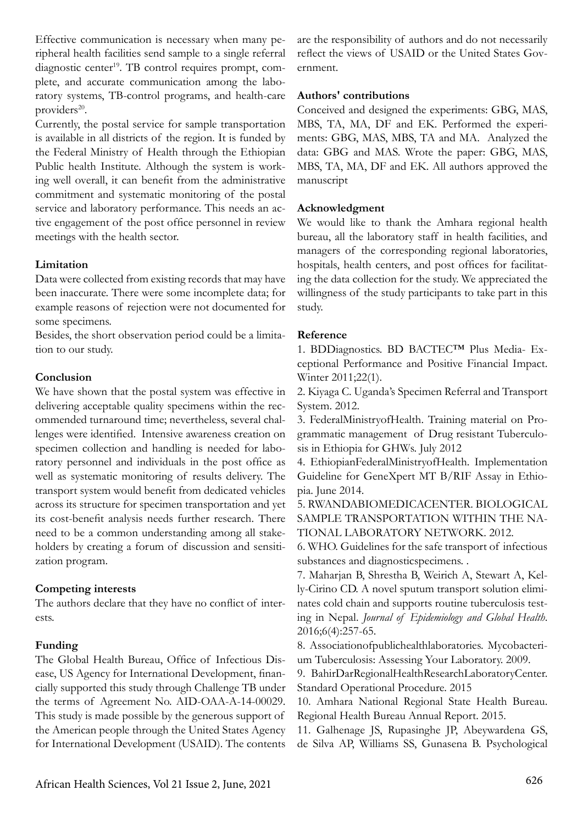Effective communication is necessary when many peripheral health facilities send sample to a single referral diagnostic center<sup>19</sup>. TB control requires prompt, complete, and accurate communication among the laboratory systems, TB-control programs, and health-care providers $20$ .

Currently, the postal service for sample transportation is available in all districts of the region. It is funded by the Federal Ministry of Health through the Ethiopian Public health Institute. Although the system is working well overall, it can benefit from the administrative commitment and systematic monitoring of the postal service and laboratory performance. This needs an active engagement of the post office personnel in review meetings with the health sector.

# **Limitation**

Data were collected from existing records that may have been inaccurate. There were some incomplete data; for example reasons of rejection were not documented for some specimens.

Besides, the short observation period could be a limitation to our study.

# **Conclusion**

We have shown that the postal system was effective in delivering acceptable quality specimens within the recommended turnaround time; nevertheless, several challenges were identified. Intensive awareness creation on specimen collection and handling is needed for laboratory personnel and individuals in the post office as well as systematic monitoring of results delivery. The transport system would benefit from dedicated vehicles across its structure for specimen transportation and yet its cost-benefit analysis needs further research. There need to be a common understanding among all stakeholders by creating a forum of discussion and sensitization program.

# **Competing interests**

The authors declare that they have no conflict of interests.

# **Funding**

The Global Health Bureau, Office of Infectious Disease, US Agency for International Development, financially supported this study through Challenge TB under the terms of Agreement No. AID-OAA-A-14-00029. This study is made possible by the generous support of the American people through the United States Agency for International Development (USAID). The contents

are the responsibility of authors and do not necessarily reflect the views of USAID or the United States Government.

### **Authors' contributions**

Conceived and designed the experiments: GBG, MAS, MBS, TA, MA, DF and EK. Performed the experiments: GBG, MAS, MBS, TA and MA. Analyzed the data: GBG and MAS. Wrote the paper: GBG, MAS, MBS, TA, MA, DF and EK. All authors approved the manuscript

### **Acknowledgment**

We would like to thank the Amhara regional health bureau, all the laboratory staff in health facilities, and managers of the corresponding regional laboratories, hospitals, health centers, and post offices for facilitating the data collection for the study. We appreciated the willingness of the study participants to take part in this study.

### **Reference**

1. BDDiagnostics. BD BACTEC™ Plus Media- Exceptional Performance and Positive Financial Impact. Winter 2011;22(1).

2. Kiyaga C. Uganda's Specimen Referral and Transport System. 2012.

3. FederalMinistryofHealth. Training material on Programmatic management of Drug resistant Tuberculosis in Ethiopia for GHWs. July 2012

4. EthiopianFederalMinistryofHealth. Implementation Guideline for GeneXpert MT B/RIF Assay in Ethiopia. June 2014.

5. RWANDABIOMEDICACENTER. BIOLOGICAL SAMPLE TRANSPORTATION WITHIN THE NA-TIONAL LABORATORY NETWORK. 2012.

6. WHO. Guidelines for the safe transport of infectious substances and diagnosticspecimens. .

7. Maharjan B, Shrestha B, Weirich A, Stewart A, Kelly-Cirino CD. A novel sputum transport solution eliminates cold chain and supports routine tuberculosis testing in Nepal. *Journal of Epidemiology and Global Health*. 2016;6(4):257-65.

8. Associationofpublichealthlaboratories. Mycobacterium Tuberculosis: Assessing Your Laboratory. 2009.

9. BahirDarRegionalHealthResearchLaboratoryCenter. Standard Operational Procedure. 2015

10. Amhara National Regional State Health Bureau. Regional Health Bureau Annual Report. 2015.

11. Galhenage JS, Rupasinghe JP, Abeywardena GS, de Silva AP, Williams SS, Gunasena B. Psychological